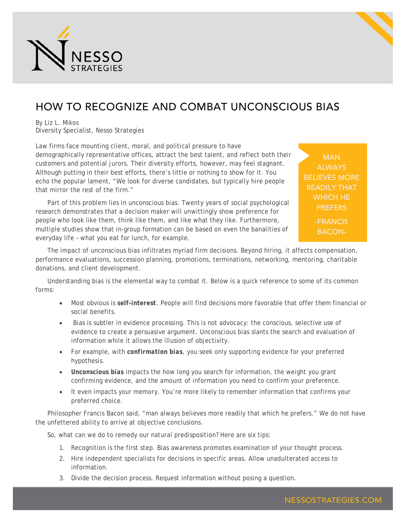

## HOW TO RECOGNIZE AND COMBAT UNCONSCIOUS BIAS

By Liz L. Mikos Diversity Specialist, Nesso Strategies

Law firms face mounting client, moral, and political pressure to have demographically representative offices, attract the best talent, and reflect both their customers and potential jurors. Their diversity efforts, however, may feel stagnant. Although putting in their best efforts, there's little or nothing to show for it. You echo the popular lament, "We look for diverse candidates, but typically hire people that mirror the rest of the firm."

Part of this problem lies in unconscious bias. Twenty years of social psychological research demonstrates that a decision maker will unwittingly show preference for people who look like them, think like them, and like what they like. Furthermore, multiple studies show that in-group formation can be based on even the banalities of everyday life – what you eat for lunch, for example.

MAN ALWAYS BELIEVES MORE READILY THAT WHICH HE **PREFERS** 

> -FRANCIS BACON-

The impact of unconscious bias infiltrates myriad firm decisions. Beyond hiring, it affects compensation, performance evaluations, succession planning, promotions, terminations, networking, mentoring, charitable donations, and client development.

Understanding bias is the elemental way to combat it. Below is a quick reference to some of its common forms:

- Most obvious is *self-interest*. People will find decisions more favorable that offer them financial or social benefits.
- Bias is subtler in evidence processing. This is not advocacy: the conscious, selective use of evidence to create a persuasive argument. Unconscious bias slants the search and evaluation of information while it allows the illusion of objectivity.
- For example, with *confirmation bias*, you seek only supporting evidence for your preferred hypothesis.
- *Unconscious bias* impacts the *how long* you search for information, the *weight* you grant confirming evidence, and the *amount* of information you need to confirm your preference.
- It even impacts your *memory*. You're more likely to remember information that confirms your preferred choice.

Philosopher Francis Bacon said, "man always believes more readily that which he prefers." We do not have the unfettered ability to arrive at objective conclusions.

So, what can we do to remedy our natural predisposition? Here are six tips:

- 1. Recognition is the first step. Bias awareness promotes examination of your thought process.
- 2. Hire independent specialists for decisions in specific areas. Allow unadulterated access to information.
- 3. Divide the decision process. Request information without posing a question.